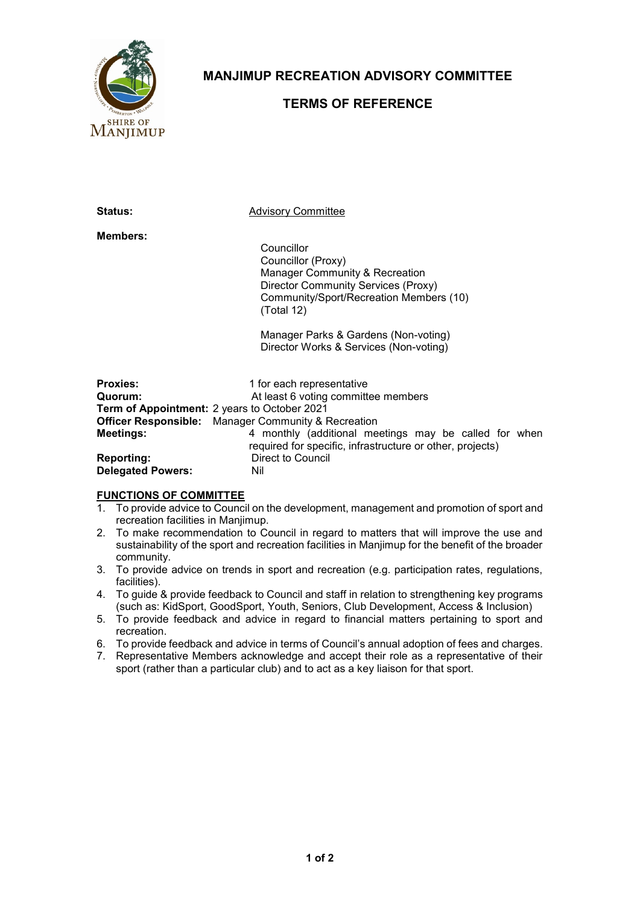

**MANJIMUP RECREATION ADVISORY COMMITTEE**

## **TERMS OF REFERENCE**

**Status:** Advisory Committee

**Members:**

Councillor Councillor (Proxy) Manager Community & Recreation Director Community Services (Proxy) Community/Sport/Recreation Members (10) (Total 12)

Manager Parks & Gardens (Non-voting) Director Works & Services (Non-voting)

| <b>Proxies:</b>                                     | 1 for each representative                                  |  |
|-----------------------------------------------------|------------------------------------------------------------|--|
| Quorum:                                             | At least 6 voting committee members                        |  |
| <b>Term of Appointment:</b> 2 years to October 2021 |                                                            |  |
|                                                     | <b>Officer Responsible:</b> Manager Community & Recreation |  |
| <b>Meetings:</b>                                    | 4 monthly (additional meetings may be called for when      |  |
|                                                     | required for specific, infrastructure or other, projects)  |  |
| <b>Reporting:</b>                                   | <b>Direct to Council</b>                                   |  |
| <b>Delegated Powers:</b>                            | Nil                                                        |  |

## **FUNCTIONS OF COMMITTEE**

- 1. To provide advice to Council on the development, management and promotion of sport and recreation facilities in Manjimup.
- 2. To make recommendation to Council in regard to matters that will improve the use and sustainability of the sport and recreation facilities in Manjimup for the benefit of the broader community.
- 3. To provide advice on trends in sport and recreation (e.g. participation rates, regulations, facilities).
- 4. To guide & provide feedback to Council and staff in relation to strengthening key programs (such as: KidSport, GoodSport, Youth, Seniors, Club Development, Access & Inclusion)
- 5. To provide feedback and advice in regard to financial matters pertaining to sport and recreation.
- 6. To provide feedback and advice in terms of Council's annual adoption of fees and charges.
- 7. Representative Members acknowledge and accept their role as a representative of their sport (rather than a particular club) and to act as a key liaison for that sport.